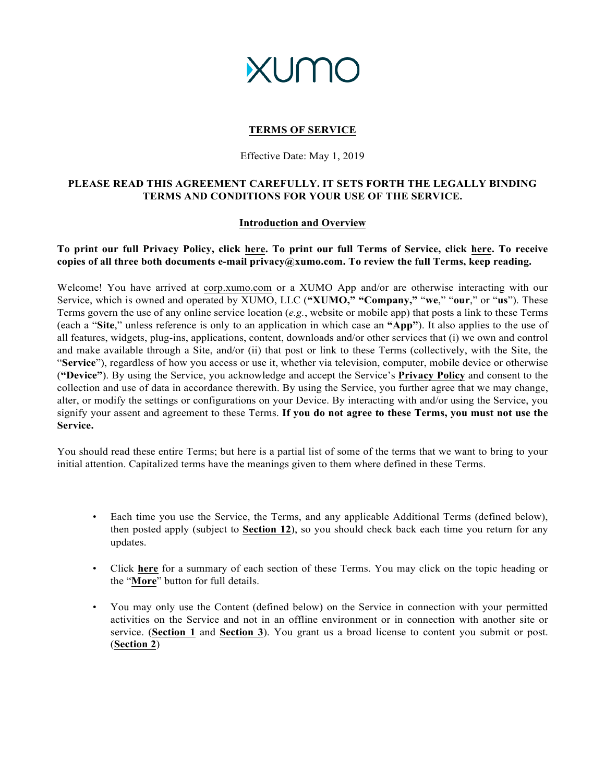# **XUMO**

## **TERMS OF SERVICE**

#### Effective Date: May 1, 2019

## **PLEASE READ THIS AGREEMENT CAREFULLY. IT SETS FORTH THE LEGALLY BINDING TERMS AND CONDITIONS FOR YOUR USE OF THE SERVICE.**

#### **Introduction and Overview**

## **To print our full Privacy Policy, click [here.](https://cdn2.hubspot.net/hubfs/1809672/Website/XUMO%20Privacy%20Policy%20-%20May%202019.pdf) To print our full Terms of Service, click [here.](https://cdn2.hubspot.net/hubfs/1809672/Website/XUMO%20Terms%20of%20Service%20-%20May%202019.pdf) To receive copies of all three both documents e-mail privacy@xumo.com. To review the full Terms, keep reading.**

Welcome! You have arrived at corp.xumo.com or a XUMO App and/or are otherwise interacting with our Service, which is owned and operated by XUMO, LLC (**"XUMO," "Company,"** "**we**," "**our**," or "**us**"). These Terms govern the use of any online service location (*e.g.*, website or mobile app) that posts a link to these Terms (each a "**Site**," unless reference is only to an application in which case an **"App"**). It also applies to the use of all features, widgets, plug-ins, applications, content, downloads and/or other services that (i) we own and control and make available through a Site, and/or (ii) that post or link to these Terms (collectively, with the Site, the "**Service**"), regardless of how you access or use it, whether via television, computer, mobile device or otherwise (**"Device"**). By using the Service, you acknowledge and accept the Service's **Privacy Policy** and consent to the collection and use of data in accordance therewith. By using the Service, you further agree that we may change, alter, or modify the settings or configurations on your Device. By interacting with and/or using the Service, you signify your assent and agreement to these Terms. **If you do not agree to these Terms, you must not use the Service.**

You should read these entire Terms; but here is a partial list of some of the terms that we want to bring to your initial attention. Capitalized terms have the meanings given to them where defined in these Terms.

- Each time you use the Service, the Terms, and any applicable Additional Terms (defined below), then posted apply (subject to **Section 12**), so you should check back each time you return for any updates.
- Click **here** for a summary of each section of these Terms. You may click on the topic heading or the "**More**" button for full details.
- You may only use the Content (defined below) on the Service in connection with your permitted activities on the Service and not in an offline environment or in connection with another site or service. (**Section 1** and **Section 3**). You grant us a broad license to content you submit or post. (**Section 2**)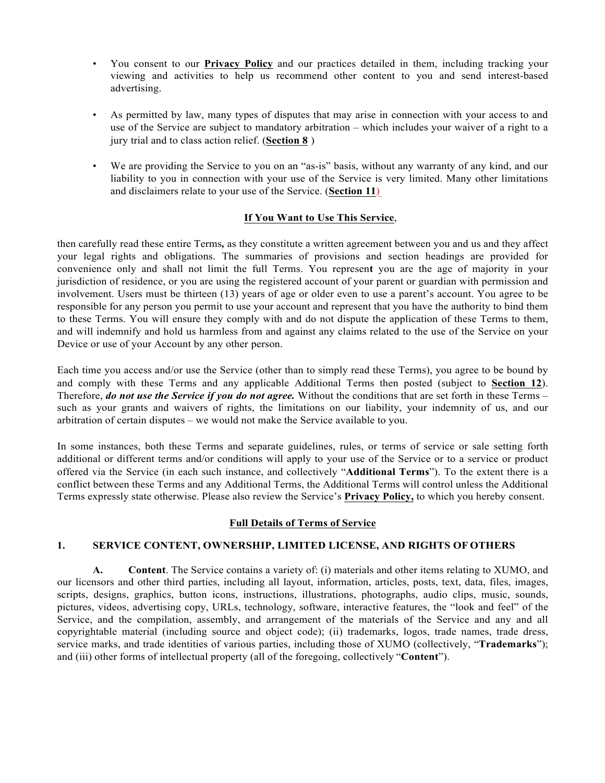- You consent to our **Privacy Policy** and our practices detailed in them, including tracking your viewing and activities to help us recommend other content to you and send interest-based advertising.
- As permitted by law, many types of disputes that may arise in connection with your access to and use of the Service are subject to mandatory arbitration – which includes your waiver of a right to a jury trial and to class action relief. (**Section 8** )
- We are providing the Service to you on an "as-is" basis, without any warranty of any kind, and our liability to you in connection with your use of the Service is very limited. Many other limitations and disclaimers relate to your use of the Service. (**Section 11)**

#### **If You Want to Use This Service**,

then carefully read these entire Terms*,* as they constitute a written agreement between you and us and they affect your legal rights and obligations. The summaries of provisions and section headings are provided for convenience only and shall not limit the full Terms. You represen**t** you are the age of majority in your jurisdiction of residence, or you are using the registered account of your parent or guardian with permission and involvement. Users must be thirteen (13) years of age or older even to use a parent's account. You agree to be responsible for any person you permit to use your account and represent that you have the authority to bind them to these Terms. You will ensure they comply with and do not dispute the application of these Terms to them, and will indemnify and hold us harmless from and against any claims related to the use of the Service on your Device or use of your Account by any other person.

Each time you access and/or use the Service (other than to simply read these Terms), you agree to be bound by and comply with these Terms and any applicable Additional Terms then posted (subject to **Section 12**). Therefore, *do not use the Service if you do not agree.* Without the conditions that are set forth in these Terms – such as your grants and waivers of rights, the limitations on our liability, your indemnity of us, and our arbitration of certain disputes – we would not make the Service available to you.

In some instances, both these Terms and separate guidelines, rules, or terms of service or sale setting forth additional or different terms and/or conditions will apply to your use of the Service or to a service or product offered via the Service (in each such instance, and collectively "**Additional Terms**"). To the extent there is a conflict between these Terms and any Additional Terms, the Additional Terms will control unless the Additional Terms expressly state otherwise. Please also review the Service's **Privacy Policy,** to which you hereby consent.

#### **Full Details of Terms of Service**

#### **1. SERVICE CONTENT, OWNERSHIP, LIMITED LICENSE, AND RIGHTS OF OTHERS**

**A. Content**. The Service contains a variety of: (i) materials and other items relating to XUMO, and our licensors and other third parties, including all layout, information, articles, posts, text, data, files, images, scripts, designs, graphics, button icons, instructions, illustrations, photographs, audio clips, music, sounds, pictures, videos, advertising copy, URLs, technology, software, interactive features, the "look and feel" of the Service, and the compilation, assembly, and arrangement of the materials of the Service and any and all copyrightable material (including source and object code); (ii) trademarks, logos, trade names, trade dress, service marks, and trade identities of various parties, including those of XUMO (collectively, "**Trademarks**"); and (iii) other forms of intellectual property (all of the foregoing, collectively "**Content**").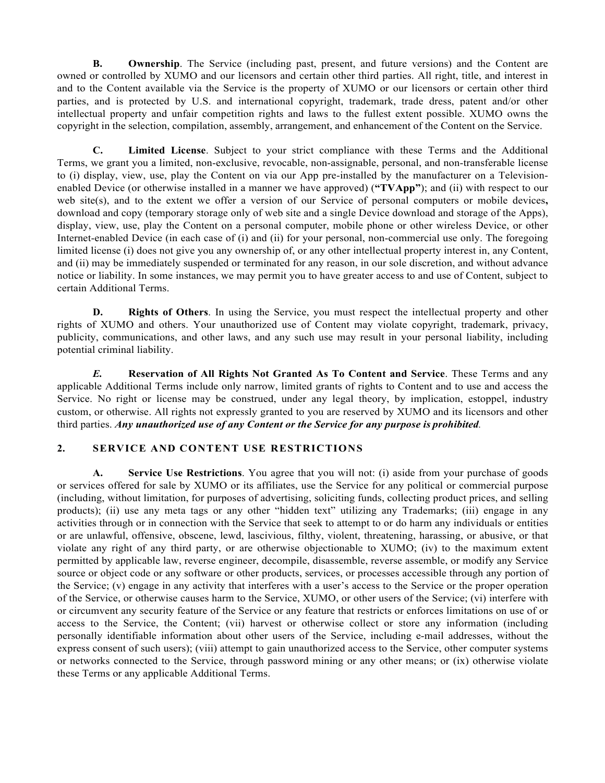**B. Ownership**. The Service (including past, present, and future versions) and the Content are owned or controlled by XUMO and our licensors and certain other third parties. All right, title, and interest in and to the Content available via the Service is the property of XUMO or our licensors or certain other third parties, and is protected by U.S. and international copyright, trademark, trade dress, patent and/or other intellectual property and unfair competition rights and laws to the fullest extent possible. XUMO owns the copyright in the selection, compilation, assembly, arrangement, and enhancement of the Content on the Service.

**C. Limited License**. Subject to your strict compliance with these Terms and the Additional Terms, we grant you a limited, non-exclusive, revocable, non-assignable, personal, and non-transferable license to (i) display, view, use, play the Content on via our App pre-installed by the manufacturer on a Televisionenabled Device (or otherwise installed in a manner we have approved) (**"TVApp"**); and (ii) with respect to our web site(s), and to the extent we offer a version of our Service of personal computers or mobile devices, download and copy (temporary storage only of web site and a single Device download and storage of the Apps), display, view, use, play the Content on a personal computer, mobile phone or other wireless Device, or other Internet-enabled Device (in each case of (i) and (ii) for your personal, non-commercial use only. The foregoing limited license (i) does not give you any ownership of, or any other intellectual property interest in, any Content, and (ii) may be immediately suspended or terminated for any reason, in our sole discretion, and without advance notice or liability. In some instances, we may permit you to have greater access to and use of Content, subject to certain Additional Terms.

**D. Rights of Others**. In using the Service, you must respect the intellectual property and other rights of XUMO and others. Your unauthorized use of Content may violate copyright, trademark, privacy, publicity, communications, and other laws, and any such use may result in your personal liability, including potential criminal liability.

*E.* **Reservation of All Rights Not Granted As To Content and Service**. These Terms and any applicable Additional Terms include only narrow, limited grants of rights to Content and to use and access the Service. No right or license may be construed, under any legal theory, by implication, estoppel, industry custom, or otherwise. All rights not expressly granted to you are reserved by XUMO and its licensors and other third parties. *Any unauthorized use of any Content or the Service for any purpose is prohibited.*

#### **2. SERVICE AND CONTENT USE RESTRICTIONS**

**A. Service Use Restrictions**. You agree that you will not: (i) aside from your purchase of goods or services offered for sale by XUMO or its affiliates, use the Service for any political or commercial purpose (including, without limitation, for purposes of advertising, soliciting funds, collecting product prices, and selling products); (ii) use any meta tags or any other "hidden text" utilizing any Trademarks; (iii) engage in any activities through or in connection with the Service that seek to attempt to or do harm any individuals or entities or are unlawful, offensive, obscene, lewd, lascivious, filthy, violent, threatening, harassing, or abusive, or that violate any right of any third party, or are otherwise objectionable to XUMO; (iv) to the maximum extent permitted by applicable law, reverse engineer, decompile, disassemble, reverse assemble, or modify any Service source or object code or any software or other products, services, or processes accessible through any portion of the Service; (v) engage in any activity that interferes with a user's access to the Service or the proper operation of the Service, or otherwise causes harm to the Service, XUMO, or other users of the Service; (vi) interfere with or circumvent any security feature of the Service or any feature that restricts or enforces limitations on use of or access to the Service, the Content; (vii) harvest or otherwise collect or store any information (including personally identifiable information about other users of the Service, including e-mail addresses, without the express consent of such users); (viii) attempt to gain unauthorized access to the Service, other computer systems or networks connected to the Service, through password mining or any other means; or (ix) otherwise violate these Terms or any applicable Additional Terms.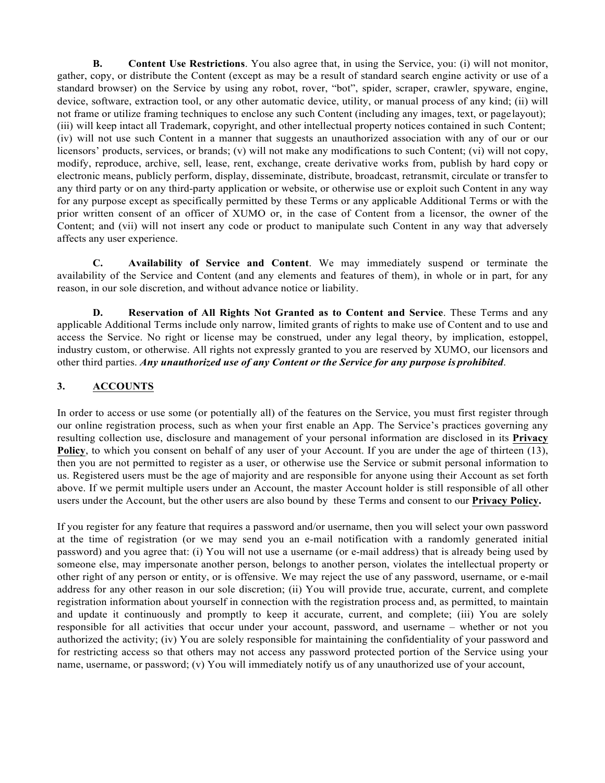**B. Content Use Restrictions**. You also agree that, in using the Service, you: (i) will not monitor, gather, copy, or distribute the Content (except as may be a result of standard search engine activity or use of a standard browser) on the Service by using any robot, rover, "bot", spider, scraper, crawler, spyware, engine, device, software, extraction tool, or any other automatic device, utility, or manual process of any kind; (ii) will not frame or utilize framing techniques to enclose any such Content (including any images, text, or pagelayout); (iii) will keep intact all Trademark, copyright, and other intellectual property notices contained in such Content; (iv) will not use such Content in a manner that suggests an unauthorized association with any of our or our licensors' products, services, or brands; (v) will not make any modifications to such Content; (vi) will not copy, modify, reproduce, archive, sell, lease, rent, exchange, create derivative works from, publish by hard copy or electronic means, publicly perform, display, disseminate, distribute, broadcast, retransmit, circulate or transfer to any third party or on any third-party application or website, or otherwise use or exploit such Content in any way for any purpose except as specifically permitted by these Terms or any applicable Additional Terms or with the prior written consent of an officer of XUMO or, in the case of Content from a licensor, the owner of the Content; and (vii) will not insert any code or product to manipulate such Content in any way that adversely affects any user experience.

**C. Availability of Service and Content**. We may immediately suspend or terminate the availability of the Service and Content (and any elements and features of them), in whole or in part, for any reason, in our sole discretion, and without advance notice or liability.

**D. Reservation of All Rights Not Granted as to Content and Service**. These Terms and any applicable Additional Terms include only narrow, limited grants of rights to make use of Content and to use and access the Service. No right or license may be construed, under any legal theory, by implication, estoppel, industry custom, or otherwise. All rights not expressly granted to you are reserved by XUMO, our licensors and other third parties. *Any unauthorized use of any Content or the Service for any purpose is prohibited*.

# **3. ACCOUNTS**

In order to access or use some (or potentially all) of the features on the Service, you must first register through our online registration process, such as when your first enable an App. The Service's practices governing any resulting collection use, disclosure and management of your personal information are disclosed in its **Privacy Policy**, to which you consent on behalf of any user of your Account. If you are under the age of thirteen (13), then you are not permitted to register as a user, or otherwise use the Service or submit personal information to us. Registered users must be the age of majority and are responsible for anyone using their Account as set forth above. If we permit multiple users under an Account, the master Account holder is still responsible of all other users under the Account, but the other users are also bound by these Terms and consent to our **Privacy Policy.**

If you register for any feature that requires a password and/or username, then you will select your own password at the time of registration (or we may send you an e-mail notification with a randomly generated initial password) and you agree that: (i) You will not use a username (or e-mail address) that is already being used by someone else, may impersonate another person, belongs to another person, violates the intellectual property or other right of any person or entity, or is offensive. We may reject the use of any password, username, or e-mail address for any other reason in our sole discretion; (ii) You will provide true, accurate, current, and complete registration information about yourself in connection with the registration process and, as permitted, to maintain and update it continuously and promptly to keep it accurate, current, and complete; (iii) You are solely responsible for all activities that occur under your account, password, and username – whether or not you authorized the activity; (iv) You are solely responsible for maintaining the confidentiality of your password and for restricting access so that others may not access any password protected portion of the Service using your name, username, or password; (v) You will immediately notify us of any unauthorized use of your account,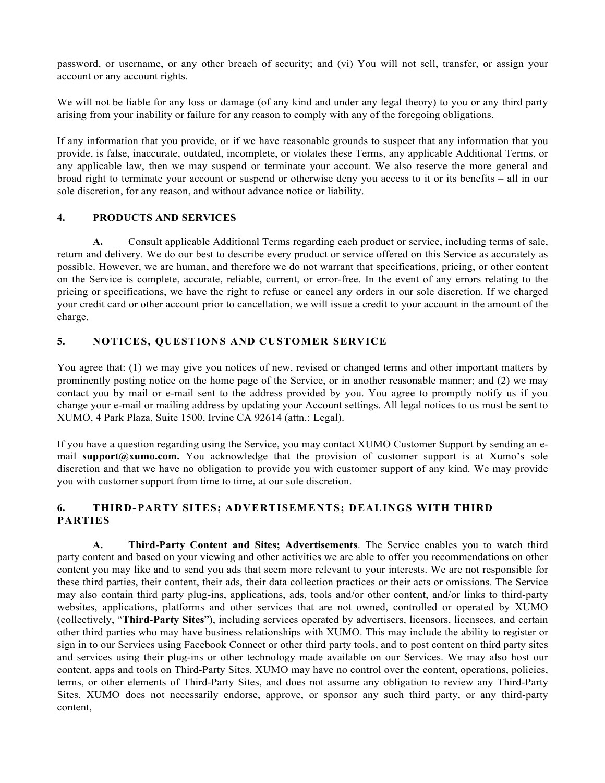password, or username, or any other breach of security; and (vi) You will not sell, transfer, or assign your account or any account rights.

We will not be liable for any loss or damage (of any kind and under any legal theory) to you or any third party arising from your inability or failure for any reason to comply with any of the foregoing obligations.

If any information that you provide, or if we have reasonable grounds to suspect that any information that you provide, is false, inaccurate, outdated, incomplete, or violates these Terms, any applicable Additional Terms, or any applicable law, then we may suspend or terminate your account. We also reserve the more general and broad right to terminate your account or suspend or otherwise deny you access to it or its benefits – all in our sole discretion, for any reason, and without advance notice or liability.

## **4. PRODUCTS AND SERVICES**

**A.** Consult applicable Additional Terms regarding each product or service, including terms of sale, return and delivery. We do our best to describe every product or service offered on this Service as accurately as possible. However, we are human, and therefore we do not warrant that specifications, pricing, or other content on the Service is complete, accurate, reliable, current, or error-free. In the event of any errors relating to the pricing or specifications, we have the right to refuse or cancel any orders in our sole discretion. If we charged your credit card or other account prior to cancellation, we will issue a credit to your account in the amount of the charge.

#### **5. NOTICES, QUESTIONS AND CUSTOMER SERVICE**

You agree that: (1) we may give you notices of new, revised or changed terms and other important matters by prominently posting notice on the home page of the Service, or in another reasonable manner; and (2) we may contact you by mail or e-mail sent to the address provided by you. You agree to promptly notify us if you change your e-mail or mailing address by updating your Account settings. All legal notices to us must be sent to XUMO, 4 Park Plaza, Suite 1500, Irvine CA 92614 (attn.: Legal).

If you have a question regarding using the Service, you may contact XUMO Customer Support by sending an email **support@xumo.com.** You acknowledge that the provision of customer support is at Xumo's sole discretion and that we have no obligation to provide you with customer support of any kind. We may provide you with customer support from time to time, at our sole discretion.

#### **6. THIRD-PARTY SITES; ADVERTISEMENTS; DEALINGS WITH THIRD PARTIES**

**A. Third**-**Party Content and Sites; Advertisements**. The Service enables you to watch third party content and based on your viewing and other activities we are able to offer you recommendations on other content you may like and to send you ads that seem more relevant to your interests. We are not responsible for these third parties, their content, their ads, their data collection practices or their acts or omissions. The Service may also contain third party plug-ins, applications, ads, tools and/or other content, and/or links to third-party websites, applications, platforms and other services that are not owned, controlled or operated by XUMO (collectively, "**Third**-**Party Sites**"), including services operated by advertisers, licensors, licensees, and certain other third parties who may have business relationships with XUMO. This may include the ability to register or sign in to our Services using Facebook Connect or other third party tools, and to post content on third party sites and services using their plug-ins or other technology made available on our Services. We may also host our content, apps and tools on Third-Party Sites. XUMO may have no control over the content, operations, policies, terms, or other elements of Third-Party Sites, and does not assume any obligation to review any Third-Party Sites. XUMO does not necessarily endorse, approve, or sponsor any such third party, or any third-party content,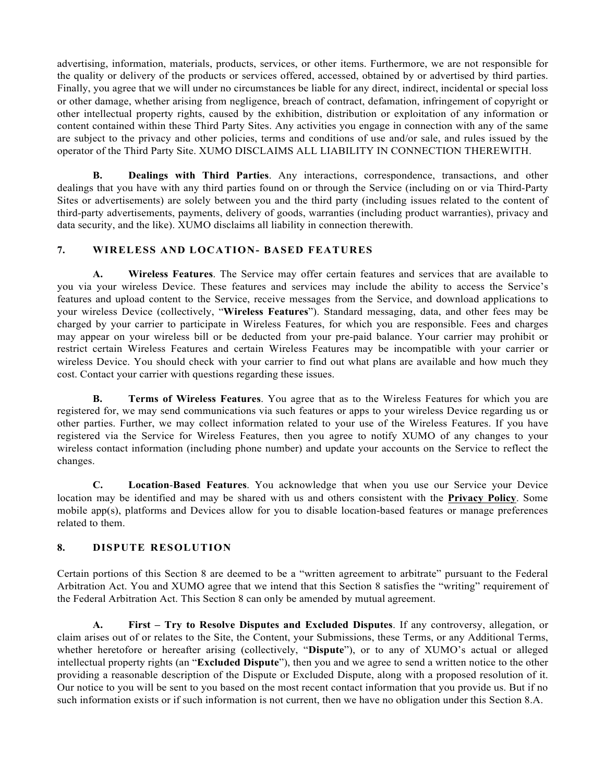advertising, information, materials, products, services, or other items. Furthermore, we are not responsible for the quality or delivery of the products or services offered, accessed, obtained by or advertised by third parties. Finally, you agree that we will under no circumstances be liable for any direct, indirect, incidental or special loss or other damage, whether arising from negligence, breach of contract, defamation, infringement of copyright or other intellectual property rights, caused by the exhibition, distribution or exploitation of any information or content contained within these Third Party Sites. Any activities you engage in connection with any of the same are subject to the privacy and other policies, terms and conditions of use and/or sale, and rules issued by the operator of the Third Party Site. XUMO DISCLAIMS ALL LIABILITY IN CONNECTION THEREWITH.

**B. Dealings with Third Parties**. Any interactions, correspondence, transactions, and other dealings that you have with any third parties found on or through the Service (including on or via Third-Party Sites or advertisements) are solely between you and the third party (including issues related to the content of third-party advertisements, payments, delivery of goods, warranties (including product warranties), privacy and data security, and the like). XUMO disclaims all liability in connection therewith.

## **7. WIRELESS AND LOCATION- BASED FEATURES**

**A. Wireless Features**. The Service may offer certain features and services that are available to you via your wireless Device. These features and services may include the ability to access the Service's features and upload content to the Service, receive messages from the Service, and download applications to your wireless Device (collectively, "**Wireless Features**"). Standard messaging, data, and other fees may be charged by your carrier to participate in Wireless Features, for which you are responsible. Fees and charges may appear on your wireless bill or be deducted from your pre-paid balance. Your carrier may prohibit or restrict certain Wireless Features and certain Wireless Features may be incompatible with your carrier or wireless Device. You should check with your carrier to find out what plans are available and how much they cost. Contact your carrier with questions regarding these issues.

**B. Terms of Wireless Features**. You agree that as to the Wireless Features for which you are registered for, we may send communications via such features or apps to your wireless Device regarding us or other parties. Further, we may collect information related to your use of the Wireless Features. If you have registered via the Service for Wireless Features, then you agree to notify XUMO of any changes to your wireless contact information (including phone number) and update your accounts on the Service to reflect the changes.

**C. Location**-**Based Features**. You acknowledge that when you use our Service your Device location may be identified and may be shared with us and others consistent with the **Privacy Policy**. Some mobile app(s), platforms and Devices allow for you to disable location-based features or manage preferences related to them.

# **8. DISPUTE RESOLUTION**

Certain portions of this Section 8 are deemed to be a "written agreement to arbitrate" pursuant to the Federal Arbitration Act. You and XUMO agree that we intend that this Section 8 satisfies the "writing" requirement of the Federal Arbitration Act. This Section 8 can only be amended by mutual agreement.

**A. First – Try to Resolve Disputes and Excluded Disputes**. If any controversy, allegation, or claim arises out of or relates to the Site, the Content, your Submissions, these Terms, or any Additional Terms, whether heretofore or hereafter arising (collectively, "**Dispute**"), or to any of XUMO's actual or alleged intellectual property rights (an "**Excluded Dispute**"), then you and we agree to send a written notice to the other providing a reasonable description of the Dispute or Excluded Dispute, along with a proposed resolution of it. Our notice to you will be sent to you based on the most recent contact information that you provide us. But if no such information exists or if such information is not current, then we have no obligation under this Section 8.A.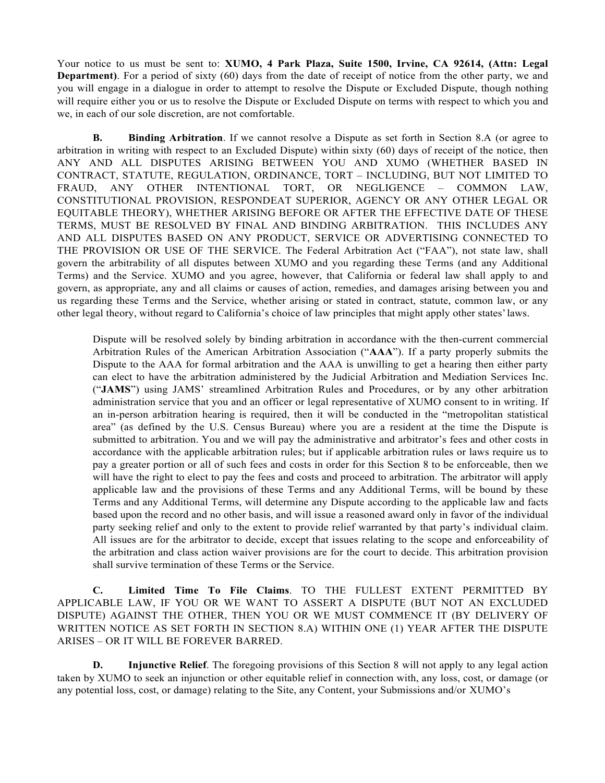Your notice to us must be sent to: **XUMO, 4 Park Plaza, Suite 1500, Irvine, CA 92614, (Attn: Legal Department**). For a period of sixty (60) days from the date of receipt of notice from the other party, we and you will engage in a dialogue in order to attempt to resolve the Dispute or Excluded Dispute, though nothing will require either you or us to resolve the Dispute or Excluded Dispute on terms with respect to which you and we, in each of our sole discretion, are not comfortable.

**B. Binding Arbitration**. If we cannot resolve a Dispute as set forth in Section 8.A (or agree to arbitration in writing with respect to an Excluded Dispute) within sixty (60) days of receipt of the notice, then ANY AND ALL DISPUTES ARISING BETWEEN YOU AND XUMO (WHETHER BASED IN CONTRACT, STATUTE, REGULATION, ORDINANCE, TORT – INCLUDING, BUT NOT LIMITED TO FRAUD, ANY OTHER INTENTIONAL TORT, OR NEGLIGENCE – COMMON LAW, CONSTITUTIONAL PROVISION, RESPONDEAT SUPERIOR, AGENCY OR ANY OTHER LEGAL OR EQUITABLE THEORY), WHETHER ARISING BEFORE OR AFTER THE EFFECTIVE DATE OF THESE TERMS, MUST BE RESOLVED BY FINAL AND BINDING ARBITRATION. THIS INCLUDES ANY AND ALL DISPUTES BASED ON ANY PRODUCT, SERVICE OR ADVERTISING CONNECTED TO THE PROVISION OR USE OF THE SERVICE. The Federal Arbitration Act ("FAA"), not state law, shall govern the arbitrability of all disputes between XUMO and you regarding these Terms (and any Additional Terms) and the Service. XUMO and you agree, however, that California or federal law shall apply to and govern, as appropriate, any and all claims or causes of action, remedies, and damages arising between you and us regarding these Terms and the Service, whether arising or stated in contract, statute, common law, or any other legal theory, without regard to California's choice of law principles that might apply other states'laws.

Dispute will be resolved solely by binding arbitration in accordance with the then-current commercial Arbitration Rules of the American Arbitration Association ("**AAA**"). If a party properly submits the Dispute to the AAA for formal arbitration and the AAA is unwilling to get a hearing then either party can elect to have the arbitration administered by the Judicial Arbitration and Mediation Services Inc. ("**JAMS**") using JAMS' streamlined Arbitration Rules and Procedures, or by any other arbitration administration service that you and an officer or legal representative of XUMO consent to in writing. If an in-person arbitration hearing is required, then it will be conducted in the "metropolitan statistical area" (as defined by the U.S. Census Bureau) where you are a resident at the time the Dispute is submitted to arbitration. You and we will pay the administrative and arbitrator's fees and other costs in accordance with the applicable arbitration rules; but if applicable arbitration rules or laws require us to pay a greater portion or all of such fees and costs in order for this Section 8 to be enforceable, then we will have the right to elect to pay the fees and costs and proceed to arbitration. The arbitrator will apply applicable law and the provisions of these Terms and any Additional Terms, will be bound by these Terms and any Additional Terms, will determine any Dispute according to the applicable law and facts based upon the record and no other basis, and will issue a reasoned award only in favor of the individual party seeking relief and only to the extent to provide relief warranted by that party's individual claim. All issues are for the arbitrator to decide, except that issues relating to the scope and enforceability of the arbitration and class action waiver provisions are for the court to decide. This arbitration provision shall survive termination of these Terms or the Service.

**C. Limited Time To File Claims**. TO THE FULLEST EXTENT PERMITTED BY APPLICABLE LAW, IF YOU OR WE WANT TO ASSERT A DISPUTE (BUT NOT AN EXCLUDED DISPUTE) AGAINST THE OTHER, THEN YOU OR WE MUST COMMENCE IT (BY DELIVERY OF WRITTEN NOTICE AS SET FORTH IN SECTION 8.A) WITHIN ONE (1) YEAR AFTER THE DISPUTE ARISES – OR IT WILL BE FOREVER BARRED.

**D. Injunctive Relief**. The foregoing provisions of this Section 8 will not apply to any legal action taken by XUMO to seek an injunction or other equitable relief in connection with, any loss, cost, or damage (or any potential loss, cost, or damage) relating to the Site, any Content, your Submissions and/or XUMO's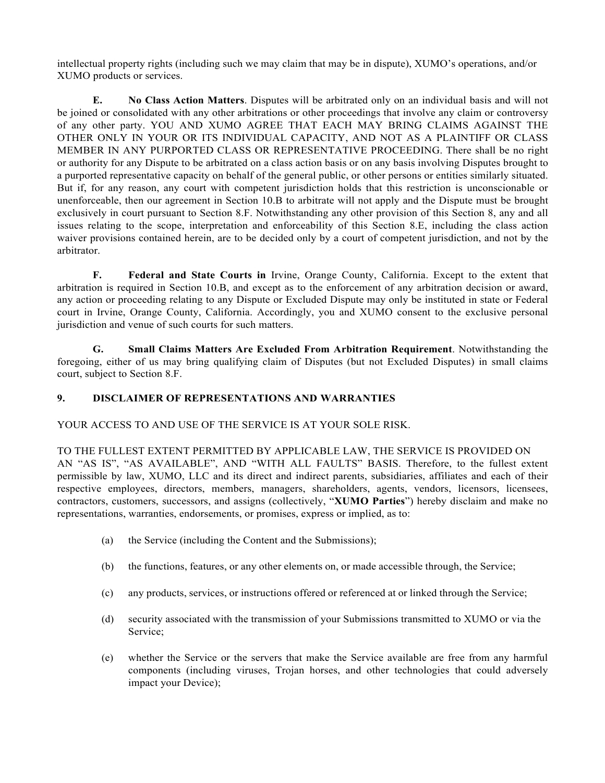intellectual property rights (including such we may claim that may be in dispute), XUMO's operations, and/or XUMO products or services.

**E. No Class Action Matters**. Disputes will be arbitrated only on an individual basis and will not be joined or consolidated with any other arbitrations or other proceedings that involve any claim or controversy of any other party. YOU AND XUMO AGREE THAT EACH MAY BRING CLAIMS AGAINST THE OTHER ONLY IN YOUR OR ITS INDIVIDUAL CAPACITY, AND NOT AS A PLAINTIFF OR CLASS MEMBER IN ANY PURPORTED CLASS OR REPRESENTATIVE PROCEEDING. There shall be no right or authority for any Dispute to be arbitrated on a class action basis or on any basis involving Disputes brought to a purported representative capacity on behalf of the general public, or other persons or entities similarly situated. But if, for any reason, any court with competent jurisdiction holds that this restriction is unconscionable or unenforceable, then our agreement in Section 10.B to arbitrate will not apply and the Dispute must be brought exclusively in court pursuant to Section 8.F. Notwithstanding any other provision of this Section 8, any and all issues relating to the scope, interpretation and enforceability of this Section 8.E, including the class action waiver provisions contained herein, are to be decided only by a court of competent jurisdiction, and not by the arbitrator.

**F. Federal and State Courts in** Irvine, Orange County, California. Except to the extent that arbitration is required in Section 10.B, and except as to the enforcement of any arbitration decision or award, any action or proceeding relating to any Dispute or Excluded Dispute may only be instituted in state or Federal court in Irvine, Orange County, California. Accordingly, you and XUMO consent to the exclusive personal jurisdiction and venue of such courts for such matters.

**G. Small Claims Matters Are Excluded From Arbitration Requirement**. Notwithstanding the foregoing, either of us may bring qualifying claim of Disputes (but not Excluded Disputes) in small claims court, subject to Section 8.F.

#### **9. DISCLAIMER OF REPRESENTATIONS AND WARRANTIES**

#### YOUR ACCESS TO AND USE OF THE SERVICE IS AT YOUR SOLE RISK.

TO THE FULLEST EXTENT PERMITTED BY APPLICABLE LAW, THE SERVICE IS PROVIDED ON AN "AS IS", "AS AVAILABLE", AND "WITH ALL FAULTS" BASIS. Therefore, to the fullest extent permissible by law, XUMO, LLC and its direct and indirect parents, subsidiaries, affiliates and each of their respective employees, directors, members, managers, shareholders, agents, vendors, licensors, licensees, contractors, customers, successors, and assigns (collectively, "**XUMO Parties**") hereby disclaim and make no representations, warranties, endorsements, or promises, express or implied, as to:

- (a) the Service (including the Content and the Submissions);
- (b) the functions, features, or any other elements on, or made accessible through, the Service;
- (c) any products, services, or instructions offered or referenced at or linked through the Service;
- (d) security associated with the transmission of your Submissions transmitted to XUMO or via the Service;
- (e) whether the Service or the servers that make the Service available are free from any harmful components (including viruses, Trojan horses, and other technologies that could adversely impact your Device);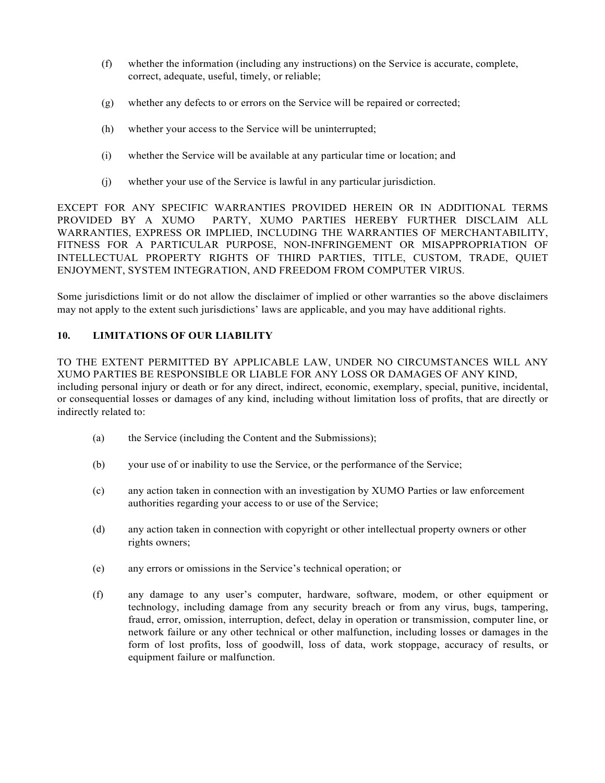- (f) whether the information (including any instructions) on the Service is accurate, complete, correct, adequate, useful, timely, or reliable;
- (g) whether any defects to or errors on the Service will be repaired or corrected;
- (h) whether your access to the Service will be uninterrupted;
- (i) whether the Service will be available at any particular time or location; and
- (j) whether your use of the Service is lawful in any particular jurisdiction.

EXCEPT FOR ANY SPECIFIC WARRANTIES PROVIDED HEREIN OR IN ADDITIONAL TERMS PROVIDED BY A XUMO PARTY, XUMO PARTIES HEREBY FURTHER DISCLAIM ALL WARRANTIES, EXPRESS OR IMPLIED, INCLUDING THE WARRANTIES OF MERCHANTABILITY, FITNESS FOR A PARTICULAR PURPOSE, NON-INFRINGEMENT OR MISAPPROPRIATION OF INTELLECTUAL PROPERTY RIGHTS OF THIRD PARTIES, TITLE, CUSTOM, TRADE, QUIET ENJOYMENT, SYSTEM INTEGRATION, AND FREEDOM FROM COMPUTER VIRUS.

Some jurisdictions limit or do not allow the disclaimer of implied or other warranties so the above disclaimers may not apply to the extent such jurisdictions' laws are applicable, and you may have additional rights.

## **10. LIMITATIONS OF OUR LIABILITY**

TO THE EXTENT PERMITTED BY APPLICABLE LAW, UNDER NO CIRCUMSTANCES WILL ANY XUMO PARTIES BE RESPONSIBLE OR LIABLE FOR ANY LOSS OR DAMAGES OF ANY KIND, including personal injury or death or for any direct, indirect, economic, exemplary, special, punitive, incidental, or consequential losses or damages of any kind, including without limitation loss of profits, that are directly or indirectly related to:

- (a) the Service (including the Content and the Submissions);
- (b) your use of or inability to use the Service, or the performance of the Service;
- (c) any action taken in connection with an investigation by XUMO Parties or law enforcement authorities regarding your access to or use of the Service;
- (d) any action taken in connection with copyright or other intellectual property owners or other rights owners;
- (e) any errors or omissions in the Service's technical operation; or
- (f) any damage to any user's computer, hardware, software, modem, or other equipment or technology, including damage from any security breach or from any virus, bugs, tampering, fraud, error, omission, interruption, defect, delay in operation or transmission, computer line, or network failure or any other technical or other malfunction, including losses or damages in the form of lost profits, loss of goodwill, loss of data, work stoppage, accuracy of results, or equipment failure or malfunction.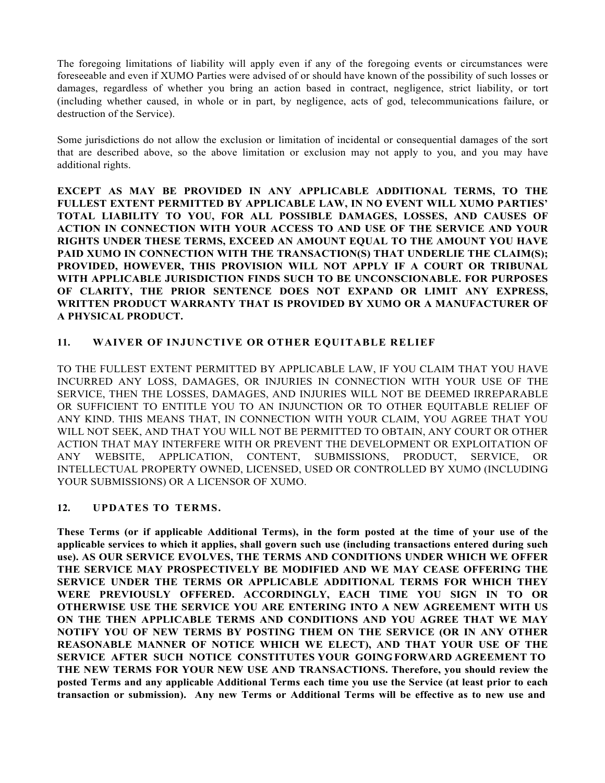The foregoing limitations of liability will apply even if any of the foregoing events or circumstances were foreseeable and even if XUMO Parties were advised of or should have known of the possibility of such losses or damages, regardless of whether you bring an action based in contract, negligence, strict liability, or tort (including whether caused, in whole or in part, by negligence, acts of god, telecommunications failure, or destruction of the Service).

Some jurisdictions do not allow the exclusion or limitation of incidental or consequential damages of the sort that are described above, so the above limitation or exclusion may not apply to you, and you may have additional rights.

**EXCEPT AS MAY BE PROVIDED IN ANY APPLICABLE ADDITIONAL TERMS, TO THE FULLEST EXTENT PERMITTED BY APPLICABLE LAW, IN NO EVENT WILL XUMO PARTIES' TOTAL LIABILITY TO YOU, FOR ALL POSSIBLE DAMAGES, LOSSES, AND CAUSES OF ACTION IN CONNECTION WITH YOUR ACCESS TO AND USE OF THE SERVICE AND YOUR RIGHTS UNDER THESE TERMS, EXCEED AN AMOUNT EQUAL TO THE AMOUNT YOU HAVE**  PAID XUMO IN CONNECTION WITH THE TRANSACTION(S) THAT UNDERLIE THE CLAIM(S); **PROVIDED, HOWEVER, THIS PROVISION WILL NOT APPLY IF A COURT OR TRIBUNAL WITH APPLICABLE JURISDICTION FINDS SUCH TO BE UNCONSCIONABLE. FOR PURPOSES OF CLARITY, THE PRIOR SENTENCE DOES NOT EXPAND OR LIMIT ANY EXPRESS, WRITTEN PRODUCT WARRANTY THAT IS PROVIDED BY XUMO OR A MANUFACTURER OF A PHYSICAL PRODUCT.**

## **11. WAIVER OF INJUNCTIVE OR OTHER EQUITABLE RELIEF**

TO THE FULLEST EXTENT PERMITTED BY APPLICABLE LAW, IF YOU CLAIM THAT YOU HAVE INCURRED ANY LOSS, DAMAGES, OR INJURIES IN CONNECTION WITH YOUR USE OF THE SERVICE, THEN THE LOSSES, DAMAGES, AND INJURIES WILL NOT BE DEEMED IRREPARABLE OR SUFFICIENT TO ENTITLE YOU TO AN INJUNCTION OR TO OTHER EQUITABLE RELIEF OF ANY KIND. THIS MEANS THAT, IN CONNECTION WITH YOUR CLAIM, YOU AGREE THAT YOU WILL NOT SEEK, AND THAT YOU WILL NOT BE PERMITTED TO OBTAIN, ANY COURT OR OTHER ACTION THAT MAY INTERFERE WITH OR PREVENT THE DEVELOPMENT OR EXPLOITATION OF ANY WEBSITE, APPLICATION, CONTENT, SUBMISSIONS, PRODUCT, SERVICE, OR INTELLECTUAL PROPERTY OWNED, LICENSED, USED OR CONTROLLED BY XUMO (INCLUDING YOUR SUBMISSIONS) OR A LICENSOR OF XUMO.

# **12. UPDATES TO TERMS.**

**These Terms (or if applicable Additional Terms), in the form posted at the time of your use of the applicable services to which it applies, shall govern such use (including transactions entered during such use). AS OUR SERVICE EVOLVES, THE TERMS AND CONDITIONS UNDER WHICH WE OFFER THE SERVICE MAY PROSPECTIVELY BE MODIFIED AND WE MAY CEASE OFFERING THE SERVICE UNDER THE TERMS OR APPLICABLE ADDITIONAL TERMS FOR WHICH THEY WERE PREVIOUSLY OFFERED. ACCORDINGLY, EACH TIME YOU SIGN IN TO OR OTHERWISE USE THE SERVICE YOU ARE ENTERING INTO A NEW AGREEMENT WITH US ON THE THEN APPLICABLE TERMS AND CONDITIONS AND YOU AGREE THAT WE MAY NOTIFY YOU OF NEW TERMS BY POSTING THEM ON THE SERVICE (OR IN ANY OTHER REASONABLE MANNER OF NOTICE WHICH WE ELECT), AND THAT YOUR USE OF THE SERVICE AFTER SUCH NOTICE CONSTITUTES YOUR GOINGFORWARD AGREEMENT TO THE NEW TERMS FOR YOUR NEW USE AND TRANSACTIONS. Therefore, you should review the posted Terms and any applicable Additional Terms each time you use the Service (at least prior to each transaction or submission). Any new Terms or Additional Terms will be effective as to new use and**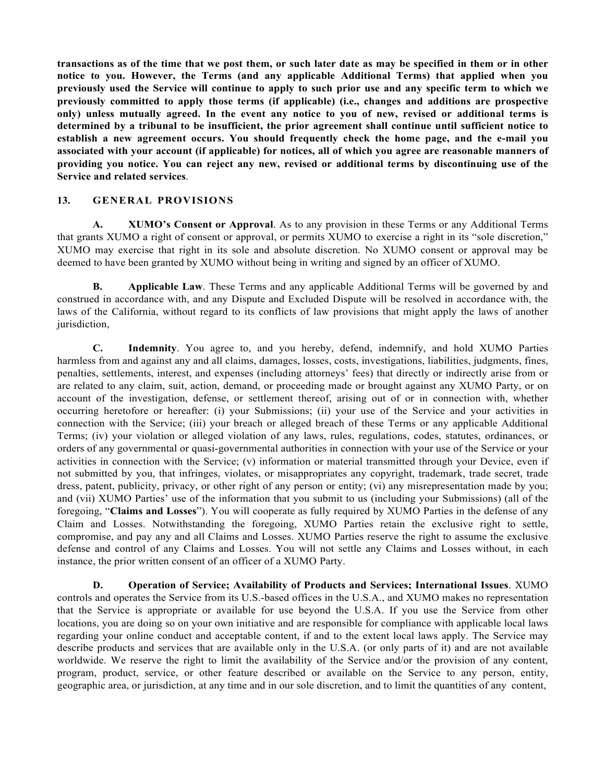**transactions as of the time that we post them, or such later date as may be specified in them or in other notice to you. However, the Terms (and any applicable Additional Terms) that applied when you previously used the Service will continue to apply to such prior use and any specific term to which we previously committed to apply those terms (if applicable) (i.e., changes and additions are prospective only) unless mutually agreed. In the event any notice to you of new, revised or additional terms is determined by a tribunal to be insufficient, the prior agreement shall continue until sufficient notice to establish a new agreement occurs. You should frequently check the home page, and the e-mail you associated with your account (if applicable) for notices, all of which you agree are reasonable manners of providing you notice. You can reject any new, revised or additional terms by discontinuing use of the Service and related services**.

#### **13. GENERAL PROVISIONS**

**A. XUMO's Consent or Approval**. As to any provision in these Terms or any Additional Terms that grants XUMO a right of consent or approval, or permits XUMO to exercise a right in its "sole discretion," XUMO may exercise that right in its sole and absolute discretion. No XUMO consent or approval may be deemed to have been granted by XUMO without being in writing and signed by an officer of XUMO.

**B. Applicable Law**. These Terms and any applicable Additional Terms will be governed by and construed in accordance with, and any Dispute and Excluded Dispute will be resolved in accordance with, the laws of the California, without regard to its conflicts of law provisions that might apply the laws of another jurisdiction,

**C. Indemnity**. You agree to, and you hereby, defend, indemnify, and hold XUMO Parties harmless from and against any and all claims, damages, losses, costs, investigations, liabilities, judgments, fines, penalties, settlements, interest, and expenses (including attorneys' fees) that directly or indirectly arise from or are related to any claim, suit, action, demand, or proceeding made or brought against any XUMO Party, or on account of the investigation, defense, or settlement thereof, arising out of or in connection with, whether occurring heretofore or hereafter: (i) your Submissions; (ii) your use of the Service and your activities in connection with the Service; (iii) your breach or alleged breach of these Terms or any applicable Additional Terms; (iv) your violation or alleged violation of any laws, rules, regulations, codes, statutes, ordinances, or orders of any governmental or quasi-governmental authorities in connection with your use of the Service or your activities in connection with the Service; (v) information or material transmitted through your Device, even if not submitted by you, that infringes, violates, or misappropriates any copyright, trademark, trade secret, trade dress, patent, publicity, privacy, or other right of any person or entity; (vi) any misrepresentation made by you; and (vii) XUMO Parties' use of the information that you submit to us (including your Submissions) (all of the foregoing, "**Claims and Losses**"). You will cooperate as fully required by XUMO Parties in the defense of any Claim and Losses. Notwithstanding the foregoing, XUMO Parties retain the exclusive right to settle, compromise, and pay any and all Claims and Losses. XUMO Parties reserve the right to assume the exclusive defense and control of any Claims and Losses. You will not settle any Claims and Losses without, in each instance, the prior written consent of an officer of a XUMO Party.

**D. Operation of Service; Availability of Products and Services; International Issues**. XUMO controls and operates the Service from its U.S.-based offices in the U.S.A., and XUMO makes no representation that the Service is appropriate or available for use beyond the U.S.A. If you use the Service from other locations, you are doing so on your own initiative and are responsible for compliance with applicable local laws regarding your online conduct and acceptable content, if and to the extent local laws apply. The Service may describe products and services that are available only in the U.S.A. (or only parts of it) and are not available worldwide. We reserve the right to limit the availability of the Service and/or the provision of any content, program, product, service, or other feature described or available on the Service to any person, entity, geographic area, or jurisdiction, at any time and in our sole discretion, and to limit the quantities of any content,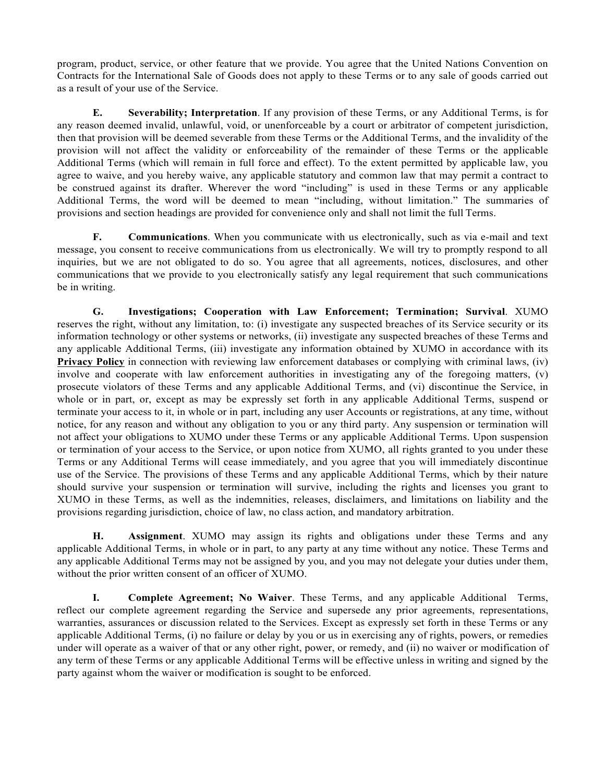program, product, service, or other feature that we provide. You agree that the United Nations Convention on Contracts for the International Sale of Goods does not apply to these Terms or to any sale of goods carried out as a result of your use of the Service.

**E. Severability; Interpretation**. If any provision of these Terms, or any Additional Terms, is for any reason deemed invalid, unlawful, void, or unenforceable by a court or arbitrator of competent jurisdiction, then that provision will be deemed severable from these Terms or the Additional Terms, and the invalidity of the provision will not affect the validity or enforceability of the remainder of these Terms or the applicable Additional Terms (which will remain in full force and effect). To the extent permitted by applicable law, you agree to waive, and you hereby waive, any applicable statutory and common law that may permit a contract to be construed against its drafter. Wherever the word "including" is used in these Terms or any applicable Additional Terms, the word will be deemed to mean "including, without limitation." The summaries of provisions and section headings are provided for convenience only and shall not limit the full Terms.

**F. Communications**. When you communicate with us electronically, such as via e-mail and text message, you consent to receive communications from us electronically. We will try to promptly respond to all inquiries, but we are not obligated to do so. You agree that all agreements, notices, disclosures, and other communications that we provide to you electronically satisfy any legal requirement that such communications be in writing.

**G. Investigations; Cooperation with Law Enforcement; Termination; Survival**. XUMO reserves the right, without any limitation, to: (i) investigate any suspected breaches of its Service security or its information technology or other systems or networks, (ii) investigate any suspected breaches of these Terms and any applicable Additional Terms, (iii) investigate any information obtained by XUMO in accordance with its **Privacy Policy** in connection with reviewing law enforcement databases or complying with criminal laws, (iv) involve and cooperate with law enforcement authorities in investigating any of the foregoing matters, (v) prosecute violators of these Terms and any applicable Additional Terms, and (vi) discontinue the Service, in whole or in part, or, except as may be expressly set forth in any applicable Additional Terms, suspend or terminate your access to it, in whole or in part, including any user Accounts or registrations, at any time, without notice, for any reason and without any obligation to you or any third party. Any suspension or termination will not affect your obligations to XUMO under these Terms or any applicable Additional Terms. Upon suspension or termination of your access to the Service, or upon notice from XUMO, all rights granted to you under these Terms or any Additional Terms will cease immediately, and you agree that you will immediately discontinue use of the Service. The provisions of these Terms and any applicable Additional Terms, which by their nature should survive your suspension or termination will survive, including the rights and licenses you grant to XUMO in these Terms, as well as the indemnities, releases, disclaimers, and limitations on liability and the provisions regarding jurisdiction, choice of law, no class action, and mandatory arbitration.

**H. Assignment**. XUMO may assign its rights and obligations under these Terms and any applicable Additional Terms, in whole or in part, to any party at any time without any notice. These Terms and any applicable Additional Terms may not be assigned by you, and you may not delegate your duties under them, without the prior written consent of an officer of XUMO.

**I. Complete Agreement; No Waiver**. These Terms, and any applicable Additional Terms, reflect our complete agreement regarding the Service and supersede any prior agreements, representations, warranties, assurances or discussion related to the Services. Except as expressly set forth in these Terms or any applicable Additional Terms, (i) no failure or delay by you or us in exercising any of rights, powers, or remedies under will operate as a waiver of that or any other right, power, or remedy, and (ii) no waiver or modification of any term of these Terms or any applicable Additional Terms will be effective unless in writing and signed by the party against whom the waiver or modification is sought to be enforced.